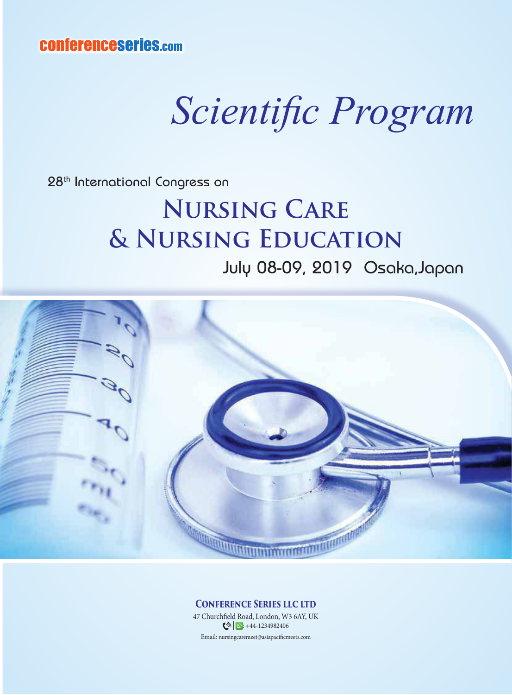conferenceseries.com

## *Scientific Program*

28th International Congress on

## **Nursing Care & Nursing Education** July 08-09, 2019 Osaka,Japan



**Conference Series llc ltd**

Email: nursingcaremeet@asiapacificmeets.com 47 Churchfield Road, London, W3 6AY, UK  $\bigcirc$   $\bigcirc$  : +44-1234982406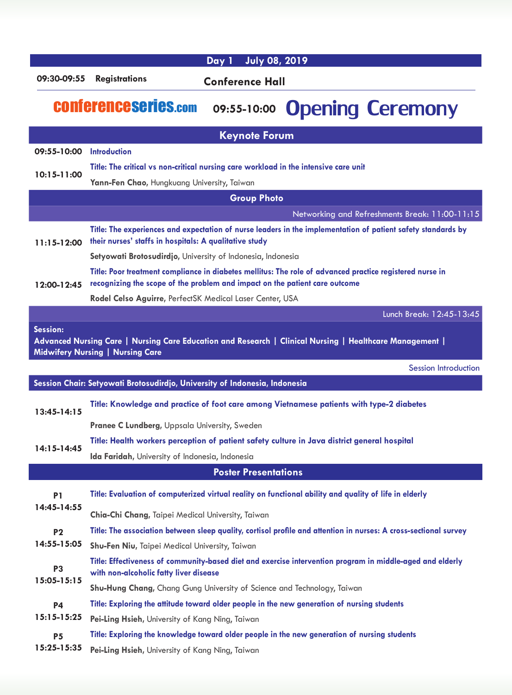|                                |                                                                                                                                                                        | <b>July 08, 2019</b><br>Day 1 |                                                                                                                  |  |
|--------------------------------|------------------------------------------------------------------------------------------------------------------------------------------------------------------------|-------------------------------|------------------------------------------------------------------------------------------------------------------|--|
| 09:30-09:55                    | <b>Registrations</b>                                                                                                                                                   | <b>Conference Hall</b>        |                                                                                                                  |  |
| <b>CONferenceseries.com</b>    |                                                                                                                                                                        | 09:55-10:00                   | <b>Opening Ceremony</b>                                                                                          |  |
|                                |                                                                                                                                                                        | <b>Keynote Forum</b>          |                                                                                                                  |  |
| 09:55-10:00                    | <b>Introduction</b>                                                                                                                                                    |                               |                                                                                                                  |  |
| 10:15-11:00                    | Title: The critical vs non-critical nursing care workload in the intensive care unit                                                                                   |                               |                                                                                                                  |  |
|                                | Yann-Fen Chao, Hungkuang University, Taiwan                                                                                                                            |                               |                                                                                                                  |  |
|                                |                                                                                                                                                                        | <b>Group Photo</b>            |                                                                                                                  |  |
|                                |                                                                                                                                                                        |                               | Networking and Refreshments Break: 11:00-11:15                                                                   |  |
| $11:15-12:00$<br>12:00-12:45   | Title: The experiences and expectation of nurse leaders in the implementation of patient safety standards by<br>their nurses' staffs in hospitals: A qualitative study |                               |                                                                                                                  |  |
|                                | Setyowati Brotosudirdjo, University of Indonesia, Indonesia                                                                                                            |                               |                                                                                                                  |  |
|                                |                                                                                                                                                                        |                               | Title: Poor treatment compliance in diabetes mellitus: The role of advanced practice registered nurse in         |  |
|                                | recognizing the scope of the problem and impact on the patient care outcome                                                                                            |                               |                                                                                                                  |  |
|                                | <b>Rodel Celso Aguirre, PerfectSK Medical Laser Center, USA</b>                                                                                                        |                               |                                                                                                                  |  |
|                                |                                                                                                                                                                        |                               | Lunch Break: 12:45-13:45                                                                                         |  |
| Session:                       |                                                                                                                                                                        |                               | Advanced Nursing Care   Nursing Care Education and Research   Clinical Nursing   Healthcare Management           |  |
|                                | <b>Midwifery Nursing   Nursing Care</b>                                                                                                                                |                               | <b>Session Introduction</b>                                                                                      |  |
|                                | Session Chair: Setyowati Brotosudirdjo, University of Indonesia, Indonesia                                                                                             |                               |                                                                                                                  |  |
| $13:45 - 14:15$                |                                                                                                                                                                        |                               |                                                                                                                  |  |
|                                |                                                                                                                                                                        |                               | Title: Knowledge and practice of foot care among Vietnamese patients with type-2 diabetes                        |  |
|                                | Pranee C Lundberg, Uppsala University, Sweden                                                                                                                          |                               |                                                                                                                  |  |
| 14:15-14:45                    |                                                                                                                                                                        |                               | Title: Health workers perception of patient safety culture in Java district general hospital                     |  |
|                                | Ida Faridah, University of Indonesia, Indonesia                                                                                                                        |                               |                                                                                                                  |  |
|                                |                                                                                                                                                                        | <b>Poster Presentations</b>   |                                                                                                                  |  |
| P1<br>14:45-14:55<br><b>P2</b> |                                                                                                                                                                        |                               | Title: Evaluation of computerized virtual reality on functional ability and quality of life in elderly           |  |
|                                | Chia-Chi Chang, Taipei Medical University, Taiwan                                                                                                                      |                               |                                                                                                                  |  |
|                                |                                                                                                                                                                        |                               | Title: The association between sleep quality, cortisol profile and attention in nurses: A cross-sectional survey |  |
| 14:55-15:05                    | <b>Shu-Fen Niu, Taipei Medical University, Taiwan</b>                                                                                                                  |                               |                                                                                                                  |  |
|                                |                                                                                                                                                                        |                               | Title: Effectiveness of community-based diet and exercise intervention program in middle-aged and elderly        |  |
| P3<br>15:05-15:15              | with non-alcoholic fatty liver disease                                                                                                                                 |                               |                                                                                                                  |  |
|                                | <b>Shu-Hung Chang, Chang Gung University of Science and Technology, Taiwan</b>                                                                                         |                               |                                                                                                                  |  |
| <b>P4</b><br>$15:15-15:25$     |                                                                                                                                                                        |                               | Title: Exploring the attitude toward older people in the new generation of nursing students                      |  |
|                                | Pei-Ling Hsieh, University of Kang Ning, Taiwan                                                                                                                        |                               |                                                                                                                  |  |
|                                |                                                                                                                                                                        |                               |                                                                                                                  |  |
| P <sub>5</sub><br>15:25-15:35  | Pei-Ling Hsieh, University of Kang Ning, Taiwan                                                                                                                        |                               | Title: Exploring the knowledge toward older people in the new generation of nursing students                     |  |